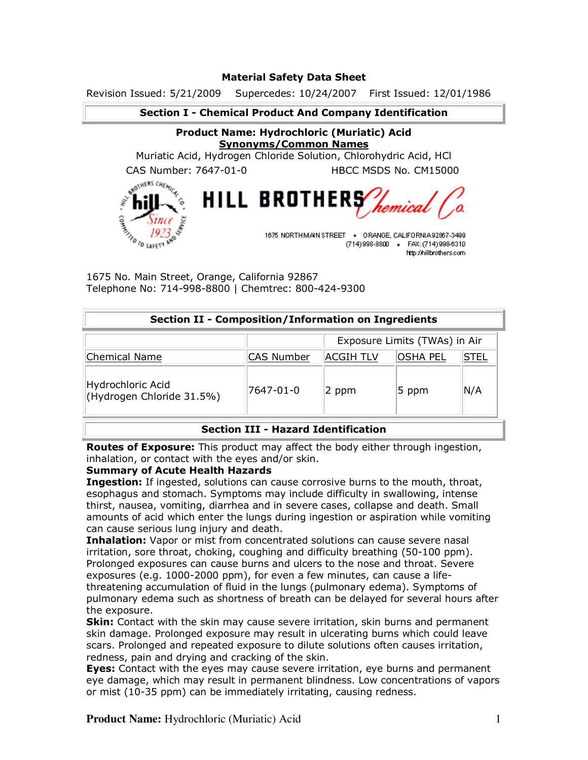## **Material Safety Data Sheet**

Revision Issued: 5/21/2009 Supercedes: 10/24/2007 First Issued: 12/01/1986

## **Section I - Chemical Product And Company Identification**

# **Product Name: Hydrochloric (Muriatic) Acid Synonyms/Common Names**

Muriatic Acid, Hydrogen Chloride Solution, Chlorohydric Acid, HCl

CAS Number: 7647-01-0 HBCC MSDS No. CM15000



(714) 998-8800 · FAX: (714) 998-6310 http://hillbrothers.com

1675 No. Main Street, Orange, California 92867 Telephone No: 714-998-8800 | Chemtrec: 800-424-9300

#### **Section II - Composition/Information on Ingredients**

|                                                |            | Exposure Limits (TWAs) in Air |          |             |
|------------------------------------------------|------------|-------------------------------|----------|-------------|
| Chemical Name                                  | CAS Number | ACGIH TLV                     | OSHA PEL | <b>STEL</b> |
| Hydrochloric Acid<br>(Hydrogen Chloride 31.5%) | 7647-01-0  | 2 ppm                         | 5 ppm    | N/A         |

## **Section III - Hazard Identification**

**Routes of Exposure:** This product may affect the body either through ingestion, inhalation, or contact with the eyes and/or skin.

## **Summary of Acute Health Hazards**

**Ingestion:** If ingested, solutions can cause corrosive burns to the mouth, throat, esophagus and stomach. Symptoms may include difficulty in swallowing, intense thirst, nausea, vomiting, diarrhea and in severe cases, collapse and death. Small amounts of acid which enter the lungs during ingestion or aspiration while vomiting can cause serious lung injury and death.

**Inhalation:** Vapor or mist from concentrated solutions can cause severe nasal irritation, sore throat, choking, coughing and difficulty breathing (50-100 ppm). Prolonged exposures can cause burns and ulcers to the nose and throat. Severe exposures (e.g. 1000-2000 ppm), for even a few minutes, can cause a lifethreatening accumulation of fluid in the lungs (pulmonary edema). Symptoms of pulmonary edema such as shortness of breath can be delayed for several hours after the exposure.

**Skin:** Contact with the skin may cause severe irritation, skin burns and permanent skin damage. Prolonged exposure may result in ulcerating burns which could leave scars. Prolonged and repeated exposure to dilute solutions often causes irritation, redness, pain and drying and cracking of the skin.

**Eyes:** Contact with the eyes may cause severe irritation, eye burns and permanent eye damage, which may result in permanent blindness. Low concentrations of vapors or mist (10-35 ppm) can be immediately irritating, causing redness.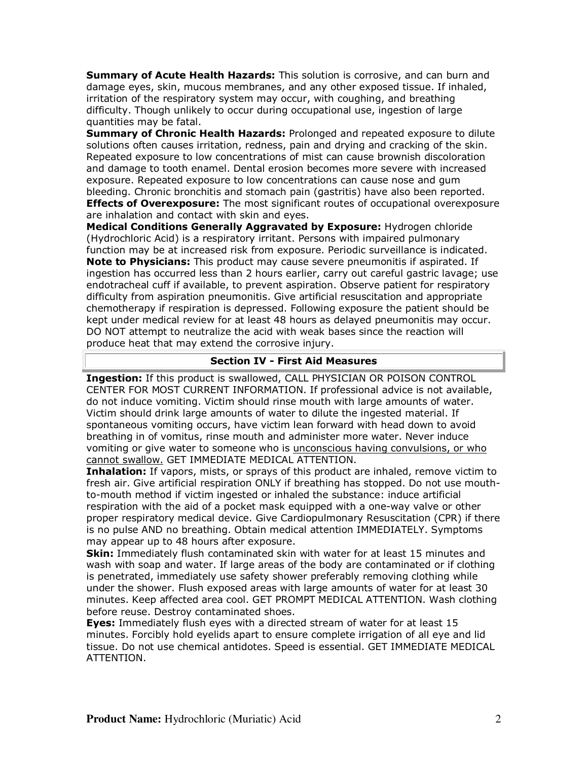**Summary of Acute Health Hazards:** This solution is corrosive, and can burn and damage eyes, skin, mucous membranes, and any other exposed tissue. If inhaled, irritation of the respiratory system may occur, with coughing, and breathing difficulty. Though unlikely to occur during occupational use, ingestion of large quantities may be fatal.

**Summary of Chronic Health Hazards:** Prolonged and repeated exposure to dilute solutions often causes irritation, redness, pain and drying and cracking of the skin. Repeated exposure to low concentrations of mist can cause brownish discoloration and damage to tooth enamel. Dental erosion becomes more severe with increased exposure. Repeated exposure to low concentrations can cause nose and gum bleeding. Chronic bronchitis and stomach pain (gastritis) have also been reported. **Effects of Overexposure:** The most significant routes of occupational overexposure are inhalation and contact with skin and eyes.

**Medical Conditions Generally Aggravated by Exposure:** Hydrogen chloride (Hydrochloric Acid) is a respiratory irritant. Persons with impaired pulmonary function may be at increased risk from exposure. Periodic surveillance is indicated. **Note to Physicians:** This product may cause severe pneumonitis if aspirated. If ingestion has occurred less than 2 hours earlier, carry out careful gastric lavage; use endotracheal cuff if available, to prevent aspiration. Observe patient for respiratory difficulty from aspiration pneumonitis. Give artificial resuscitation and appropriate chemotherapy if respiration is depressed. Following exposure the patient should be kept under medical review for at least 48 hours as delayed pneumonitis may occur. DO NOT attempt to neutralize the acid with weak bases since the reaction will produce heat that may extend the corrosive injury.

#### **Section IV - First Aid Measures**

**Ingestion:** If this product is swallowed, CALL PHYSICIAN OR POISON CONTROL CENTER FOR MOST CURRENT INFORMATION. If professional advice is not available, do not induce vomiting. Victim should rinse mouth with large amounts of water. Victim should drink large amounts of water to dilute the ingested material. If spontaneous vomiting occurs, have victim lean forward with head down to avoid breathing in of vomitus, rinse mouth and administer more water. Never induce vomiting or give water to someone who is unconscious having convulsions, or who cannot swallow. GET IMMEDIATE MEDICAL ATTENTION.

**Inhalation:** If vapors, mists, or sprays of this product are inhaled, remove victim to fresh air. Give artificial respiration ONLY if breathing has stopped. Do not use mouthto-mouth method if victim ingested or inhaled the substance: induce artificial respiration with the aid of a pocket mask equipped with a one-way valve or other proper respiratory medical device. Give Cardiopulmonary Resuscitation (CPR) if there is no pulse AND no breathing. Obtain medical attention IMMEDIATELY. Symptoms may appear up to 48 hours after exposure.

**Skin:** Immediately flush contaminated skin with water for at least 15 minutes and wash with soap and water. If large areas of the body are contaminated or if clothing is penetrated, immediately use safety shower preferably removing clothing while under the shower. Flush exposed areas with large amounts of water for at least 30 minutes. Keep affected area cool. GET PROMPT MEDICAL ATTENTION. Wash clothing before reuse. Destroy contaminated shoes.

**Eyes:** Immediately flush eyes with a directed stream of water for at least 15 minutes. Forcibly hold eyelids apart to ensure complete irrigation of all eye and lid tissue. Do not use chemical antidotes. Speed is essential. GET IMMEDIATE MEDICAL ATTENTION.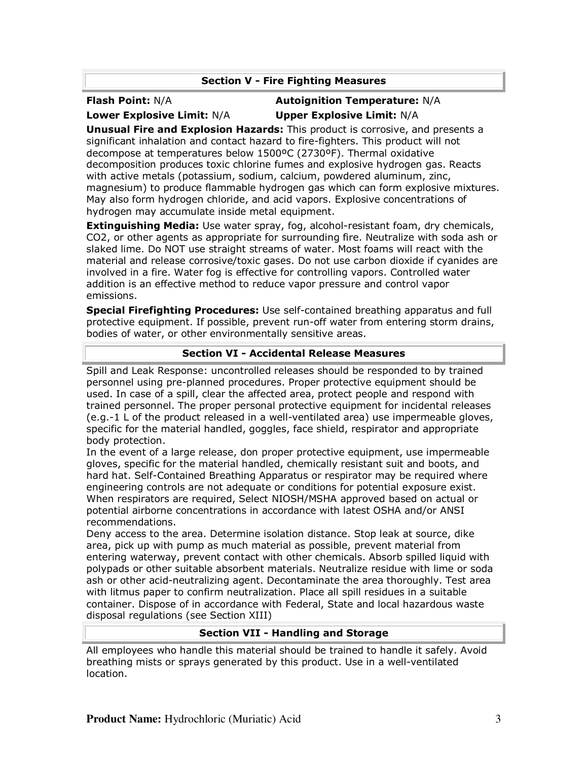# **Section V - Fire Fighting Measures**

# **Flash Point:** N/A **Autoignition Temperature:** N/A **Lower Explosive Limit:** N/A **Upper Explosive Limit:** N/A

**Unusual Fire and Explosion Hazards:** This product is corrosive, and presents a significant inhalation and contact hazard to fire-fighters. This product will not decompose at temperatures below 1500ºC (2730ºF). Thermal oxidative decomposition produces toxic chlorine fumes and explosive hydrogen gas. Reacts with active metals (potassium, sodium, calcium, powdered aluminum, zinc, magnesium) to produce flammable hydrogen gas which can form explosive mixtures. May also form hydrogen chloride, and acid vapors. Explosive concentrations of hydrogen may accumulate inside metal equipment.

**Extinguishing Media:** Use water spray, fog, alcohol-resistant foam, dry chemicals, CO2, or other agents as appropriate for surrounding fire. Neutralize with soda ash or slaked lime. Do NOT use straight streams of water. Most foams will react with the material and release corrosive/toxic gases. Do not use carbon dioxide if cyanides are involved in a fire. Water fog is effective for controlling vapors. Controlled water addition is an effective method to reduce vapor pressure and control vapor emissions.

**Special Firefighting Procedures:** Use self-contained breathing apparatus and full protective equipment. If possible, prevent run-off water from entering storm drains, bodies of water, or other environmentally sensitive areas.

# **Section VI - Accidental Release Measures**

Spill and Leak Response: uncontrolled releases should be responded to by trained personnel using pre-planned procedures. Proper protective equipment should be used. In case of a spill, clear the affected area, protect people and respond with trained personnel. The proper personal protective equipment for incidental releases (e.g.-1 L of the product released in a well-ventilated area) use impermeable gloves, specific for the material handled, goggles, face shield, respirator and appropriate body protection.

In the event of a large release, don proper protective equipment, use impermeable gloves, specific for the material handled, chemically resistant suit and boots, and hard hat. Self-Contained Breathing Apparatus or respirator may be required where engineering controls are not adequate or conditions for potential exposure exist. When respirators are required, Select NIOSH/MSHA approved based on actual or potential airborne concentrations in accordance with latest OSHA and/or ANSI recommendations.

Deny access to the area. Determine isolation distance. Stop leak at source, dike area, pick up with pump as much material as possible, prevent material from entering waterway, prevent contact with other chemicals. Absorb spilled liquid with polypads or other suitable absorbent materials. Neutralize residue with lime or soda ash or other acid-neutralizing agent. Decontaminate the area thoroughly. Test area with litmus paper to confirm neutralization. Place all spill residues in a suitable container. Dispose of in accordance with Federal, State and local hazardous waste disposal regulations (see Section XIII)

# **Section VII - Handling and Storage**

All employees who handle this material should be trained to handle it safely. Avoid breathing mists or sprays generated by this product. Use in a well-ventilated location.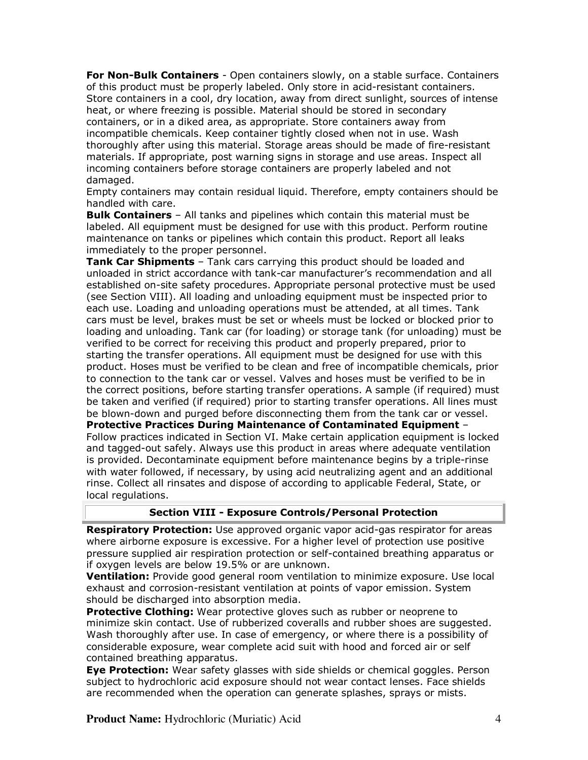**For Non-Bulk Containers** - Open containers slowly, on a stable surface. Containers of this product must be properly labeled. Only store in acid-resistant containers. Store containers in a cool, dry location, away from direct sunlight, sources of intense heat, or where freezing is possible. Material should be stored in secondary containers, or in a diked area, as appropriate. Store containers away from incompatible chemicals. Keep container tightly closed when not in use. Wash thoroughly after using this material. Storage areas should be made of fire-resistant materials. If appropriate, post warning signs in storage and use areas. Inspect all incoming containers before storage containers are properly labeled and not damaged.

Empty containers may contain residual liquid. Therefore, empty containers should be handled with care.

**Bulk Containers** – All tanks and pipelines which contain this material must be labeled. All equipment must be designed for use with this product. Perform routine maintenance on tanks or pipelines which contain this product. Report all leaks immediately to the proper personnel.

**Tank Car Shipments** – Tank cars carrying this product should be loaded and unloaded in strict accordance with tank-car manufacturer's recommendation and all established on-site safety procedures. Appropriate personal protective must be used (see Section VIII). All loading and unloading equipment must be inspected prior to each use. Loading and unloading operations must be attended, at all times. Tank cars must be level, brakes must be set or wheels must be locked or blocked prior to loading and unloading. Tank car (for loading) or storage tank (for unloading) must be verified to be correct for receiving this product and properly prepared, prior to starting the transfer operations. All equipment must be designed for use with this product. Hoses must be verified to be clean and free of incompatible chemicals, prior to connection to the tank car or vessel. Valves and hoses must be verified to be in the correct positions, before starting transfer operations. A sample (if required) must be taken and verified (if required) prior to starting transfer operations. All lines must be blown-down and purged before disconnecting them from the tank car or vessel. **Protective Practices During Maintenance of Contaminated Equipment** – Follow practices indicated in Section VI. Make certain application equipment is locked and tagged-out safely. Always use this product in areas where adequate ventilation is provided. Decontaminate equipment before maintenance begins by a triple-rinse with water followed, if necessary, by using acid neutralizing agent and an additional rinse. Collect all rinsates and dispose of according to applicable Federal, State, or local regulations.

## **Section VIII - Exposure Controls/Personal Protection**

**Respiratory Protection:** Use approved organic vapor acid-gas respirator for areas where airborne exposure is excessive. For a higher level of protection use positive pressure supplied air respiration protection or self-contained breathing apparatus or if oxygen levels are below 19.5% or are unknown.

**Ventilation:** Provide good general room ventilation to minimize exposure. Use local exhaust and corrosion-resistant ventilation at points of vapor emission. System should be discharged into absorption media.

**Protective Clothing:** Wear protective gloves such as rubber or neoprene to minimize skin contact. Use of rubberized coveralls and rubber shoes are suggested. Wash thoroughly after use. In case of emergency, or where there is a possibility of considerable exposure, wear complete acid suit with hood and forced air or self contained breathing apparatus.

**Eye Protection:** Wear safety glasses with side shields or chemical goggles. Person subject to hydrochloric acid exposure should not wear contact lenses. Face shields are recommended when the operation can generate splashes, sprays or mists.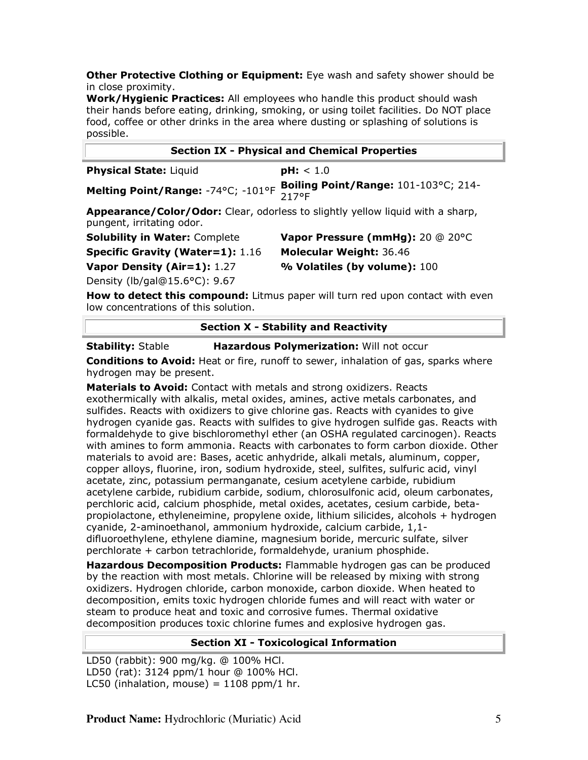**Other Protective Clothing or Equipment:** Eye wash and safety shower should be in close proximity.

**Work/Hygienic Practices:** All employees who handle this product should wash their hands before eating, drinking, smoking, or using toilet facilities. Do NOT place food, coffee or other drinks in the area where dusting or splashing of solutions is possible.

| <b>Section IX - Physical and Chemical Properties</b> |                                                                                  |  |  |
|------------------------------------------------------|----------------------------------------------------------------------------------|--|--|
| <b>Physical State: Liquid</b>                        | <b>pH:</b> $< 1.0$                                                               |  |  |
|                                                      | Melting Point/Range: -74°C; -101°F Boiling Point/Range: 101-103°C; 214-<br>217°F |  |  |
| pungent, irritating odor.                            | Appearance/Color/Odor: Clear, odorless to slightly yellow liquid with a sharp,   |  |  |

**Specific Gravity (Water=1):** 1.16 **Molecular Weight:** 36.46

**Solubility in Water:** Complete **Vapor Pressure (mmHg):** 20 @ 20°C **Vapor Density (Air=1):** 1.27 **% Volatiles (by volume):** 100

Density (lb/gal@15.6°C): 9.67

**How to detect this compound:** Litmus paper will turn red upon contact with even low concentrations of this solution.

# **Section X - Stability and Reactivity**

**Stability:** Stable **Hazardous Polymerization:** Will not occur

**Conditions to Avoid:** Heat or fire, runoff to sewer, inhalation of gas, sparks where hydrogen may be present.

**Materials to Avoid:** Contact with metals and strong oxidizers. Reacts exothermically with alkalis, metal oxides, amines, active metals carbonates, and sulfides. Reacts with oxidizers to give chlorine gas. Reacts with cyanides to give hydrogen cyanide gas. Reacts with sulfides to give hydrogen sulfide gas. Reacts with formaldehyde to give bischloromethyl ether (an OSHA regulated carcinogen). Reacts with amines to form ammonia. Reacts with carbonates to form carbon dioxide. Other materials to avoid are: Bases, acetic anhydride, alkali metals, aluminum, copper, copper alloys, fluorine, iron, sodium hydroxide, steel, sulfites, sulfuric acid, vinyl acetate, zinc, potassium permanganate, cesium acetylene carbide, rubidium acetylene carbide, rubidium carbide, sodium, chlorosulfonic acid, oleum carbonates, perchloric acid, calcium phosphide, metal oxides, acetates, cesium carbide, betapropiolactone, ethyleneimine, propylene oxide, lithium silicides, alcohols + hydrogen cyanide, 2-aminoethanol, ammonium hydroxide, calcium carbide, 1,1 difluoroethylene, ethylene diamine, magnesium boride, mercuric sulfate, silver perchlorate + carbon tetrachloride, formaldehyde, uranium phosphide.

**Hazardous Decomposition Products:** Flammable hydrogen gas can be produced by the reaction with most metals. Chlorine will be released by mixing with strong oxidizers. Hydrogen chloride, carbon monoxide, carbon dioxide. When heated to decomposition, emits toxic hydrogen chloride fumes and will react with water or steam to produce heat and toxic and corrosive fumes. Thermal oxidative decomposition produces toxic chlorine fumes and explosive hydrogen gas.

## **Section XI - Toxicological Information**

LD50 (rabbit): 900 mg/kg. @ 100% HCl. LD50 (rat): 3124 ppm/1 hour @ 100% HCl. LC50 (inhalation, mouse) =  $1108$  ppm/1 hr.